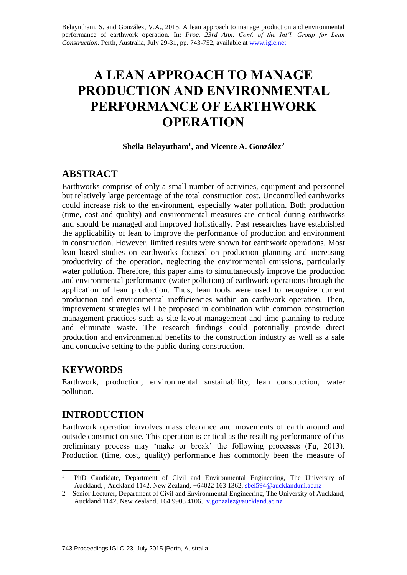Belayutham, S. and González, V.A., 2015. A lean approach to manage production and environmental performance of earthwork operation. In: *Proc. 23rd Ann. Conf. of the Int'l. Group for Lean Construction*. Perth, Australia, July 29-31, pp. 743-752, available at [www.iglc.net](http://www.iglc.net/)

# **A LEAN APPROACH TO MANAGE PRODUCTION AND ENVIRONMENTAL PERFORMANCE OF EARTHWORK OPERATION**

#### **Sheila Belayutham<sup>1</sup> , and Vicente A. González<sup>2</sup>**

# **ABSTRACT**

Earthworks comprise of only a small number of activities, equipment and personnel but relatively large percentage of the total construction cost. Uncontrolled earthworks could increase risk to the environment, especially water pollution. Both production (time, cost and quality) and environmental measures are critical during earthworks and should be managed and improved holistically. Past researches have established the applicability of lean to improve the performance of production and environment in construction. However, limited results were shown for earthwork operations. Most lean based studies on earthworks focused on production planning and increasing productivity of the operation, neglecting the environmental emissions, particularly water pollution. Therefore, this paper aims to simultaneously improve the production and environmental performance (water pollution) of earthwork operations through the application of lean production. Thus, lean tools were used to recognize current production and environmental inefficiencies within an earthwork operation. Then, improvement strategies will be proposed in combination with common construction management practices such as site layout management and time planning to reduce and eliminate waste. The research findings could potentially provide direct production and environmental benefits to the construction industry as well as a safe and conducive setting to the public during construction.

# **KEYWORDS**

Earthwork, production, environmental sustainability, lean construction, water pollution.

# **INTRODUCTION**

Earthwork operation involves mass clearance and movements of earth around and outside construction site. This operation is critical as the resulting performance of this preliminary process may 'make or break' the following processes (Fu, 2013). Production (time, cost, quality) performance has commonly been the measure of

<sup>1</sup> <sup>1</sup> PhD Candidate, Department of Civil and Environmental Engineering, The University of Auckland, , Auckland 1142, New Zealand, +64022 163 1362, [sbel594@aucklanduni.ac.nz](mailto:sbel594@aucklanduni.ac.nz)

<sup>2</sup> Senior Lecturer, Department of Civil and Environmental Engineering, The University of Auckland, Auckland 1142, New Zealand, +64 9903 4106, [v.gonzalez@auckland.ac.nz](mailto:v.gonzalez@auckland.ac.nz)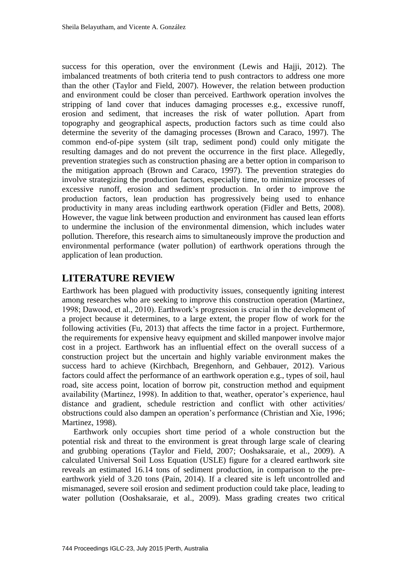success for this operation, over the environment (Lewis and Hajji, 2012). The imbalanced treatments of both criteria tend to push contractors to address one more than the other (Taylor and Field, 2007). However, the relation between production and environment could be closer than perceived. Earthwork operation involves the stripping of land cover that induces damaging processes e.g., excessive runoff, erosion and sediment, that increases the risk of water pollution. Apart from topography and geographical aspects, production factors such as time could also determine the severity of the damaging processes (Brown and Caraco, 1997). The common end-of-pipe system (silt trap, sediment pond) could only mitigate the resulting damages and do not prevent the occurrence in the first place. Allegedly, prevention strategies such as construction phasing are a better option in comparison to the mitigation approach (Brown and Caraco, 1997). The prevention strategies do involve strategizing the production factors, especially time, to minimize processes of excessive runoff, erosion and sediment production. In order to improve the production factors, lean production has progressively being used to enhance productivity in many areas including earthwork operation (Fidler and Betts, 2008). However, the vague link between production and environment has caused lean efforts to undermine the inclusion of the environmental dimension, which includes water pollution. Therefore, this research aims to simultaneously improve the production and environmental performance (water pollution) of earthwork operations through the application of lean production.

#### **LITERATURE REVIEW**

Earthwork has been plagued with productivity issues, consequently igniting interest among researches who are seeking to improve this construction operation (Martinez, 1998; Dawood, et al., 2010). Earthwork's progression is crucial in the development of a project because it determines, to a large extent, the proper flow of work for the following activities (Fu, 2013) that affects the time factor in a project. Furthermore, the requirements for expensive heavy equipment and skilled manpower involve major cost in a project. Earthwork has an influential effect on the overall success of a construction project but the uncertain and highly variable environment makes the success hard to achieve (Kirchbach, Bregenhorn, and Gehbauer, 2012). Various factors could affect the performance of an earthwork operation e.g., types of soil, haul road, site access point, location of borrow pit, construction method and equipment availability (Martinez, 1998). In addition to that, weather, operator's experience, haul distance and gradient, schedule restriction and conflict with other activities/ obstructions could also dampen an operation's performance (Christian and Xie, 1996; Martinez, 1998).

Earthwork only occupies short time period of a whole construction but the potential risk and threat to the environment is great through large scale of clearing and grubbing operations (Taylor and Field, 2007; Ooshaksaraie, et al., 2009). A calculated Universal Soil Loss Equation (USLE) figure for a cleared earthwork site reveals an estimated 16.14 tons of sediment production, in comparison to the preearthwork yield of 3.20 tons (Pain, 2014). If a cleared site is left uncontrolled and mismanaged, severe soil erosion and sediment production could take place, leading to water pollution (Ooshaksaraie, et al., 2009). Mass grading creates two critical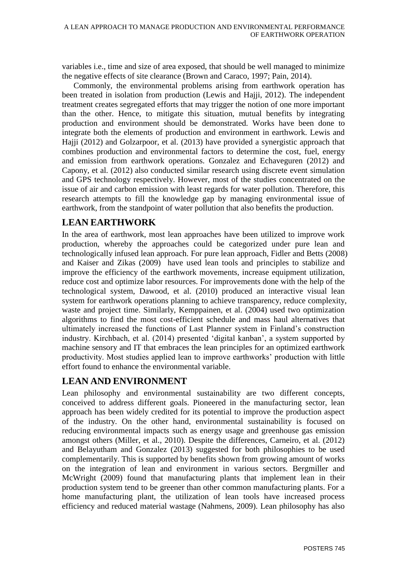variables i.e., time and size of area exposed, that should be well managed to minimize the negative effects of site clearance (Brown and Caraco, 1997; Pain, 2014).

Commonly, the environmental problems arising from earthwork operation has been treated in isolation from production (Lewis and Hajji, 2012). The independent treatment creates segregated efforts that may trigger the notion of one more important than the other. Hence, to mitigate this situation, mutual benefits by integrating production and environment should be demonstrated. Works have been done to integrate both the elements of production and environment in earthwork. Lewis and Hajji (2012) and Golzarpoor, et al. (2013) have provided a synergistic approach that combines production and environmental factors to determine the cost, fuel, energy and emission from earthwork operations. Gonzalez and Echaveguren (2012) and Capony, et al. (2012) also conducted similar research using discrete event simulation and GPS technology respectively. However, most of the studies concentrated on the issue of air and carbon emission with least regards for water pollution. Therefore, this research attempts to fill the knowledge gap by managing environmental issue of earthwork, from the standpoint of water pollution that also benefits the production.

#### **LEAN EARTHWORK**

In the area of earthwork, most lean approaches have been utilized to improve work production, whereby the approaches could be categorized under pure lean and technologically infused lean approach. For pure lean approach, Fidler and Betts (2008) and Kaiser and Zikas (2009) have used lean tools and principles to stabilize and improve the efficiency of the earthwork movements, increase equipment utilization, reduce cost and optimize labor resources. For improvements done with the help of the technological system, Dawood, et al. (2010) produced an interactive visual lean system for earthwork operations planning to achieve transparency, reduce complexity, waste and project time. Similarly, Kemppainen, et al. (2004) used two optimization algorithms to find the most cost-efficient schedule and mass haul alternatives that ultimately increased the functions of Last Planner system in Finland's construction industry. Kirchbach, et al. (2014) presented 'digital kanban', a system supported by machine sensory and IT that embraces the lean principles for an optimized earthwork productivity. Most studies applied lean to improve earthworks' production with little effort found to enhance the environmental variable.

## **LEAN AND ENVIRONMENT**

Lean philosophy and environmental sustainability are two different concepts, conceived to address different goals. Pioneered in the manufacturing sector, lean approach has been widely credited for its potential to improve the production aspect of the industry. On the other hand, environmental sustainability is focused on reducing environmental impacts such as energy usage and greenhouse gas emission amongst others (Miller, et al., 2010). Despite the differences, Carneiro, et al. (2012) and Belayutham and Gonzalez (2013) suggested for both philosophies to be used complementarily. This is supported by benefits shown from growing amount of works on the integration of lean and environment in various sectors. Bergmiller and McWright (2009) found that manufacturing plants that implement lean in their production system tend to be greener than other common manufacturing plants. For a home manufacturing plant, the utilization of lean tools have increased process efficiency and reduced material wastage (Nahmens, 2009). Lean philosophy has also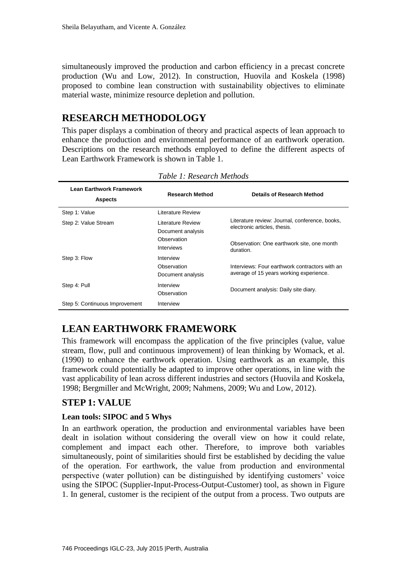simultaneously improved the production and carbon efficiency in a precast concrete production (Wu and Low, 2012). In construction, Huovila and Koskela (1998) proposed to combine lean construction with sustainability objectives to eliminate material waste, minimize resource depletion and pollution.

# **RESEARCH METHODOLOGY**

This paper displays a combination of theory and practical aspects of lean approach to enhance the production and environmental performance of an earthwork operation. Descriptions on the research methods employed to define the different aspects of Lean Earthwork Framework is shown in Table 1.

| <b>Lean Earthwork Framework</b><br><b>Aspects</b> | <b>Research Method</b>                                                     | Details of Research Method                                                                                                                |
|---------------------------------------------------|----------------------------------------------------------------------------|-------------------------------------------------------------------------------------------------------------------------------------------|
| Step 1: Value                                     | Literature Review                                                          |                                                                                                                                           |
| Step 2: Value Stream                              | Literature Review<br>Document analysis<br>Observation<br><b>Interviews</b> | Literature review: Journal, conference, books,<br>electronic articles, thesis.<br>Observation: One earthwork site, one month<br>duration. |
| Step 3: Flow                                      | Interview<br>Observation<br>Document analysis                              | Interviews: Four earthwork contractors with an<br>average of 15 years working experience.                                                 |
| Step 4: Pull                                      | Interview<br>Observation                                                   | Document analysis: Daily site diary.                                                                                                      |
| Step 5: Continuous Improvement                    | Interview                                                                  |                                                                                                                                           |

*Table 1: Research Methods*

## **LEAN EARTHWORK FRAMEWORK**

This framework will encompass the application of the five principles (value, value stream, flow, pull and continuous improvement) of lean thinking by Womack, et al. (1990) to enhance the earthwork operation. Using earthwork as an example, this framework could potentially be adapted to improve other operations, in line with the vast applicability of lean across different industries and sectors (Huovila and Koskela, 1998; Bergmiller and McWright, 2009; Nahmens, 2009; Wu and Low, 2012).

## **STEP 1: VALUE**

#### **Lean tools: SIPOC and 5 Whys**

In an earthwork operation, the production and environmental variables have been dealt in isolation without considering the overall view on how it could relate, complement and impact each other. Therefore, to improve both variables simultaneously, point of similarities should first be established by deciding the value of the operation. For earthwork, the value from production and environmental perspective (water pollution) can be distinguished by identifying customers' voice using the SIPOC (Supplier-Input-Process-Output-Customer) tool, as shown in Figure 1. In general, customer is the recipient of the output from a process. Two outputs are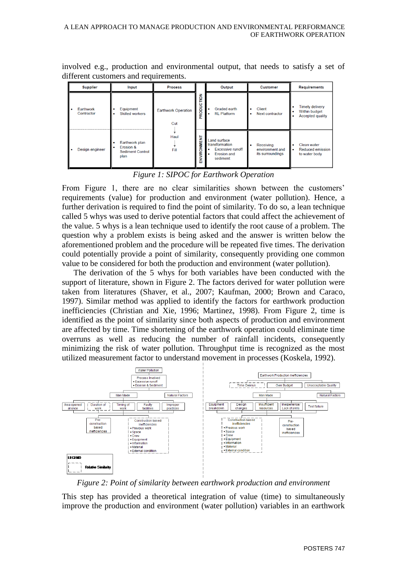involved e.g., production and environmental output, that needs to satisfy a set of different customers and requirements.

| <b>Supplier</b>         | Input                                                                       | <b>Process</b>                    |                       | Output                                                                                                | <b>Customer</b>                                  | Requirements                                                                 |
|-------------------------|-----------------------------------------------------------------------------|-----------------------------------|-----------------------|-------------------------------------------------------------------------------------------------------|--------------------------------------------------|------------------------------------------------------------------------------|
| Earthwork<br>Contractor | Equipment<br><b>Skilled workers</b><br>٠                                    | <b>Earthwork Operation</b><br>Cut | <b>NOL1</b><br>PRODUC | Graded earth<br><b>RL</b> Platform<br>۰                                                               | Client<br>Next contractor                        | <b>Timely delivery</b><br>٠<br>Within budget<br><b>Accepted quality</b><br>٠ |
| Design engineer         | Earthwork plan<br>Erosion &<br>$\bullet$<br><b>Sediment Control</b><br>plan | Haul<br>Fill                      | VIRONMENT<br>홂        | Land surface<br>transformation<br><b>Excessive runoff</b><br>۰<br><b>Erosion and</b><br>۰<br>sediment | Receiving<br>environment and<br>its surroundings | Clean water<br>٠<br><b>Reduced emission</b><br>$\bullet$<br>to water body    |

*Figure 1: SIPOC for Earthwork Operation*

From Figure 1, there are no clear similarities shown between the customers' requirements (value) for production and environment (water pollution). Hence, a further derivation is required to find the point of similarity. To do so, a lean technique called 5 whys was used to derive potential factors that could affect the achievement of the value. 5 whys is a lean technique used to identify the root cause of a problem. The question why a problem exists is being asked and the answer is written below the aforementioned problem and the procedure will be repeated five times. The derivation could potentially provide a point of similarity, consequently providing one common value to be considered for both the production and environment (water pollution).

The derivation of the 5 whys for both variables have been conducted with the support of literature, shown in Figure 2. The factors derived for water pollution were taken from literatures (Shaver, et al., 2007; Kaufman, 2000; Brown and Caraco, 1997). Similar method was applied to identify the factors for earthwork production inefficiencies (Christian and Xie, 1996; Martinez, 1998). From Figure 2, time is identified as the point of similarity since both aspects of production and environment are affected by time. Time shortening of the earthwork operation could eliminate time overruns as well as reducing the number of rainfall incidents, consequently minimizing the risk of water pollution. Throughput time is recognized as the most utilized measurement factor to understand movement in processes (Koskela, 1992).



*Figure 2: Point of similarity between earthwork production and environment*

This step has provided a theoretical integration of value (time) to simultaneously improve the production and environment (water pollution) variables in an earthwork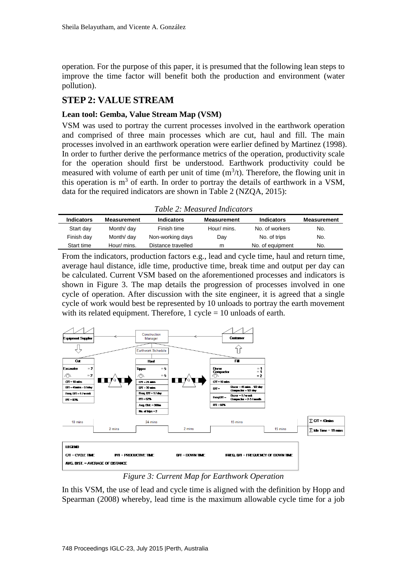operation. For the purpose of this paper, it is presumed that the following lean steps to improve the time factor will benefit both the production and environment (water pollution).

#### **STEP 2: VALUE STREAM**

#### **Lean tool: Gemba, Value Stream Map (VSM)**

VSM was used to portray the current processes involved in the earthwork operation and comprised of three main processes which are cut, haul and fill. The main processes involved in an earthwork operation were earlier defined by Martinez (1998). In order to further derive the performance metrics of the operation, productivity scale for the operation should first be understood. Earthwork productivity could be measured with volume of earth per unit of time  $(m^3/t)$ . Therefore, the flowing unit in this operation is  $m<sup>3</sup>$  of earth. In order to portray the details of earthwork in a VSM, data for the required indicators are shown in Table 2 (NZQA, 2015):

*Table 2: Measured Indicators*

| <b>Indicators</b> | <b>Measurement</b> | <b>Indicators</b>  | <b>Measurement</b> | <b>Indicators</b> | <b>Measurement</b> |  |  |
|-------------------|--------------------|--------------------|--------------------|-------------------|--------------------|--|--|
| Start day         | Month/ day         | Finish time        | Hour/ mins.        | No. of workers    | No.                |  |  |
| Finish day        | Month/ day         | Non-working days   | Dav                | No. of trips      | No.                |  |  |
| Start time        | Hour/ mins.        | Distance travelled | m                  | No. of equipment  | No.                |  |  |
|                   |                    |                    |                    |                   |                    |  |  |

From the indicators, production factors e.g., lead and cycle time, haul and return time, average haul distance, idle time, productive time, break time and output per day can be calculated. Current VSM based on the aforementioned processes and indicators is shown in Figure 3. The map details the progression of processes involved in one cycle of operation. After discussion with the site engineer, it is agreed that a single cycle of work would best be represented by 10 unloads to portray the earth movement with its related equipment. Therefore,  $1$  cycle  $= 10$  unloads of earth.



*Figure 3: Current Map for Earthwork Operation* 

In this VSM, the use of lead and cycle time is aligned with the definition by Hopp and Spearman (2008) whereby, lead time is the maximum allowable cycle time for a job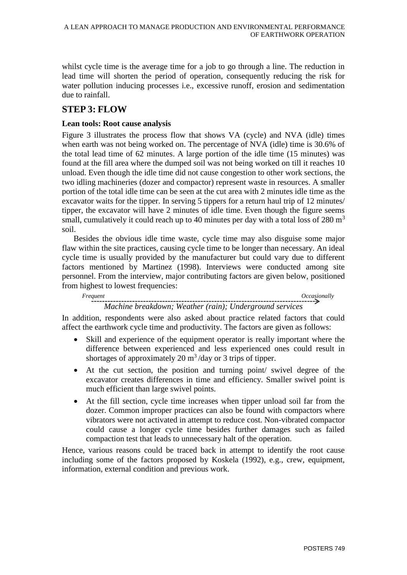whilst cycle time is the average time for a job to go through a line. The reduction in lead time will shorten the period of operation, consequently reducing the risk for water pollution inducing processes i.e., excessive runoff, erosion and sedimentation due to rainfall.

## **STEP 3: FLOW**

#### **Lean tools: Root cause analysis**

Figure 3 illustrates the process flow that shows VA (cycle) and NVA (idle) times when earth was not being worked on. The percentage of NVA (idle) time is 30.6% of the total lead time of 62 minutes. A large portion of the idle time (15 minutes) was found at the fill area where the dumped soil was not being worked on till it reaches 10 unload. Even though the idle time did not cause congestion to other work sections, the two idling machineries (dozer and compactor) represent waste in resources. A smaller portion of the total idle time can be seen at the cut area with 2 minutes idle time as the excavator waits for the tipper. In serving 5 tippers for a return haul trip of 12 minutes/ tipper, the excavator will have 2 minutes of idle time. Even though the figure seems small, cumulatively it could reach up to 40 minutes per day with a total loss of  $280 \text{ m}^3$ soil.

Besides the obvious idle time waste, cycle time may also disguise some major flaw within the site practices, causing cycle time to be longer than necessary. An ideal cycle time is usually provided by the manufacturer but could vary due to different factors mentioned by Martinez (1998). Interviews were conducted among site personnel. From the interview, major contributing factors are given below, positioned from highest to lowest frequencies:

 *Frequent Occasionally* 

## *Machine breakdown; Weather (rain); Underground services*

In addition, respondents were also asked about practice related factors that could affect the earthwork cycle time and productivity. The factors are given as follows:

- Skill and experience of the equipment operator is really important where the difference between experienced and less experienced ones could result in shortages of approximately 20  $\text{m}^3/\text{day}$  or 3 trips of tipper.
- At the cut section, the position and turning point/ swivel degree of the excavator creates differences in time and efficiency. Smaller swivel point is much efficient than large swivel points.
- At the fill section, cycle time increases when tipper unload soil far from the dozer. Common improper practices can also be found with compactors where vibrators were not activated in attempt to reduce cost. Non-vibrated compactor could cause a longer cycle time besides further damages such as failed compaction test that leads to unnecessary halt of the operation.

Hence, various reasons could be traced back in attempt to identify the root cause including some of the factors proposed by Koskela (1992), e.g., crew, equipment, information, external condition and previous work.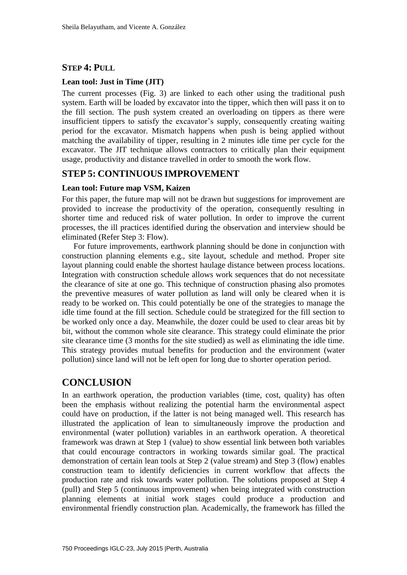#### **STEP 4: PULL**

#### **Lean tool: Just in Time (JIT)**

The current processes (Fig. 3) are linked to each other using the traditional push system. Earth will be loaded by excavator into the tipper, which then will pass it on to the fill section. The push system created an overloading on tippers as there were insufficient tippers to satisfy the excavator's supply, consequently creating waiting period for the excavator. Mismatch happens when push is being applied without matching the availability of tipper, resulting in 2 minutes idle time per cycle for the excavator. The JIT technique allows contractors to critically plan their equipment usage, productivity and distance travelled in order to smooth the work flow.

#### **STEP 5: CONTINUOUS IMPROVEMENT**

#### **Lean tool: Future map VSM, Kaizen**

For this paper, the future map will not be drawn but suggestions for improvement are provided to increase the productivity of the operation, consequently resulting in shorter time and reduced risk of water pollution. In order to improve the current processes, the ill practices identified during the observation and interview should be eliminated (Refer Step 3: Flow).

For future improvements, earthwork planning should be done in conjunction with construction planning elements e.g., site layout, schedule and method. Proper site layout planning could enable the shortest haulage distance between process locations. Integration with construction schedule allows work sequences that do not necessitate the clearance of site at one go. This technique of construction phasing also promotes the preventive measures of water pollution as land will only be cleared when it is ready to be worked on. This could potentially be one of the strategies to manage the idle time found at the fill section. Schedule could be strategized for the fill section to be worked only once a day. Meanwhile, the dozer could be used to clear areas bit by bit, without the common whole site clearance. This strategy could eliminate the prior site clearance time (3 months for the site studied) as well as eliminating the idle time. This strategy provides mutual benefits for production and the environment (water pollution) since land will not be left open for long due to shorter operation period.

## **CONCLUSION**

In an earthwork operation, the production variables (time, cost, quality) has often been the emphasis without realizing the potential harm the environmental aspect could have on production, if the latter is not being managed well. This research has illustrated the application of lean to simultaneously improve the production and environmental (water pollution) variables in an earthwork operation. A theoretical framework was drawn at Step 1 (value) to show essential link between both variables that could encourage contractors in working towards similar goal. The practical demonstration of certain lean tools at Step 2 (value stream) and Step 3 (flow) enables construction team to identify deficiencies in current workflow that affects the production rate and risk towards water pollution. The solutions proposed at Step 4 (pull) and Step 5 (continuous improvement) when being integrated with construction planning elements at initial work stages could produce a production and environmental friendly construction plan. Academically, the framework has filled the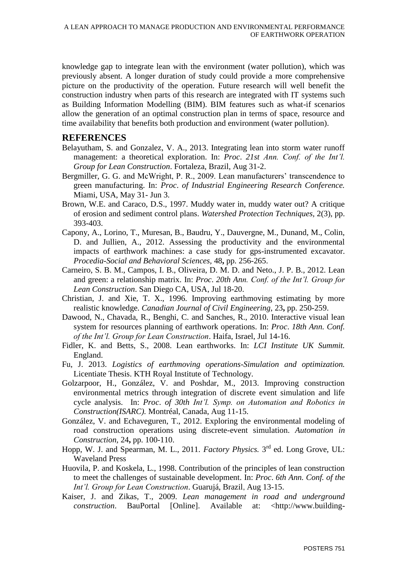knowledge gap to integrate lean with the environment (water pollution), which was previously absent. A longer duration of study could provide a more comprehensive picture on the productivity of the operation. Future research will well benefit the construction industry when parts of this research are integrated with IT systems such as Building Information Modelling (BIM). BIM features such as what-if scenarios allow the generation of an optimal construction plan in terms of space, resource and time availability that benefits both production and environment (water pollution).

#### **REFERENCES**

- Belayutham, S. and Gonzalez, V. A., 2013. Integrating lean into storm water runoff management: a theoretical exploration. In: *Proc*. *21st Ann. Conf. of the Int'l. Group for Lean Construction*. Fortaleza, Brazil, Aug 31-2.
- Bergmiller, G. G. and McWright, P. R., 2009. Lean manufacturers' transcendence to green manufacturing. In: *Proc*. *of Industrial Engineering Research Conference.* Miami, USA, May 31- Jun 3.
- Brown, W.E. and Caraco, D.S., 1997. Muddy water in, muddy water out? A critique of erosion and sediment control plans. *Watershed Protection Techniques,* 2(3), pp. 393-403.
- Capony, A., Lorino, T., Muresan, B., Baudru, Y., Dauvergne, M., Dunand, M., Colin, D. and Jullien, A., 2012. Assessing the productivity and the environmental impacts of earthwork machines: a case study for gps-instrumented excavator. *Procedia-Social and Behavioral Sciences,* 48**,** pp. 256-265.
- Carneiro, S. B. M., Campos, I. B., Oliveira, D. M. D. and Neto., J. P. B., 2012. Lean and green: a relationship matrix. In: *Proc*. *20th Ann. Conf. of the Int'l. Group for Lean Construction*. San Diego CA, USA, Jul 18-20.
- Christian, J. and Xie, T. X., 1996. Improving earthmoving estimating by more realistic knowledge. *Canadian Journal of Civil Engineering,* 23**,** pp. 250-259.
- Dawood, N., Chavada, R., Benghi, C. and Sanches, R., 2010. Interactive visual lean system for resources planning of earthwork operations. In: *Proc*. *18th Ann. Conf. of the Int'l. Group for Lean Construction*. Haifa, Israel, Jul 14-16.
- Fidler, K. and Betts, S., 2008. Lean earthworks. In: *LCI Institute UK Summit.* England.
- Fu, J. 2013. *Logistics of earthmoving operations-Simulation and optimization.* Licentiate Thesis. KTH Royal Institute of Technology.
- Golzarpoor, H., González, V. and Poshdar, M., 2013. Improving construction environmental metrics through integration of discrete event simulation and life cycle analysis. In: *Proc*. *of 30th Int'l. Symp. on Automation and Robotics in Construction(ISARC).* Montréal, Canada, Aug 11-15.
- González, V. and Echaveguren, T., 2012. Exploring the environmental modeling of road construction operations using discrete-event simulation. *Automation in Construction,* 24**,** pp. 100-110.
- Hopp, W. J. and Spearman, M. L., 2011. *Factory Physics*. 3<sup>rd</sup> ed. Long Grove, UL: Waveland Press
- Huovila, P. and Koskela, L., 1998. Contribution of the principles of lean construction to meet the challenges of sustainable development. In: *Proc*. *6th Ann. Conf. of the Int'l. Group for Lean Construction*. Guarujá, Brazil, Aug 13-15.
- Kaiser, J. and Zikas, T., 2009. *Lean management in road and underground construction*. BauPortal [Online]. Available at: <http://www.building-